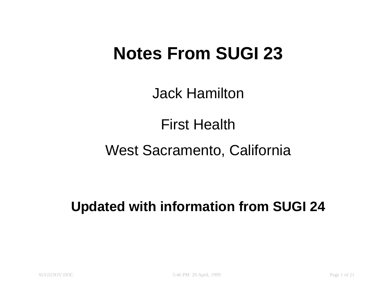# **Notes From SUGI 23**

Jack Hamilton

First Health

West Sacramento, California

**Updated with information from SUGI 24**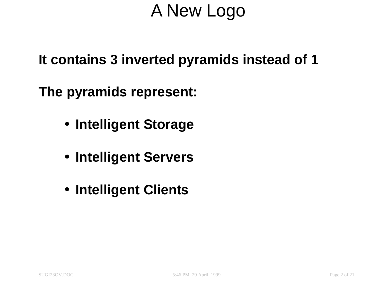# A New Logo

**It contains 3 inverted pyramids instead of 1**

**The pyramids represent:**

- **Intelligent Storage**
- **Intelligent Servers**
- **Intelligent Clients**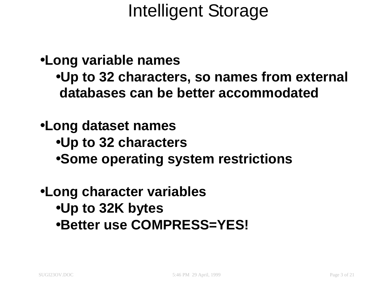•**Long variable names**

•**Up to 32 characters, so names from external databases can be better accommodated**

•**Long dataset names**

- •**Up to 32 characters**
- •**Some operating system restrictions**

### •**Long character variables** •**Up to 32K bytes** •**Better use COMPRESS=YES!**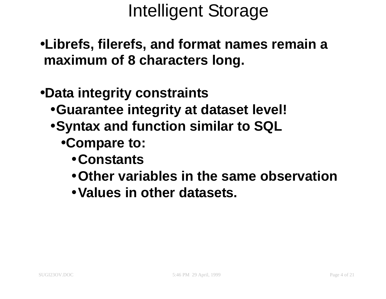- •**Librefs, filerefs, and format names remain <sup>a</sup> maximum of 8 characters long.**
- •**Data integrity constraints**
	- •**Guarantee integrity at dataset level!**
	- •**Syntax and function similar to SQL**
		- •**Compare to:**
			- •**Constants**
			- •**Other variables in the same observation**
			- •**Values in other datasets.**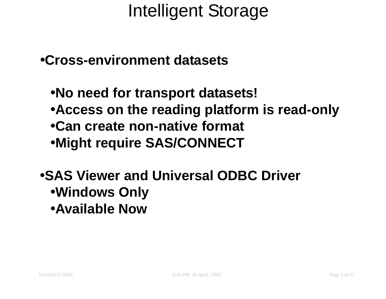#### •**Cross-environment datasets**

- •**No need for transport datasets!**
- •**Access on the reading platform is read-only**
- •**Can create non-native format**
- •**Might require SAS/CONNECT**

### •**SAS Viewer and Universal ODBC Driver** •**Windows Only**

•**Available Now**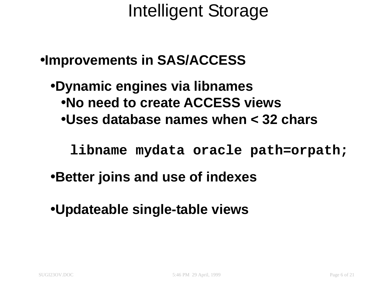### •**Improvements in SAS/ACCESS**

•**Dynamic engines via libnames** •**No need to create ACCESS views** •**Uses database names when < 32 chars**

**libname mydata oracle path=orpath;**

- •**Better joins and use of indexes**
- •**Updateable single-table views**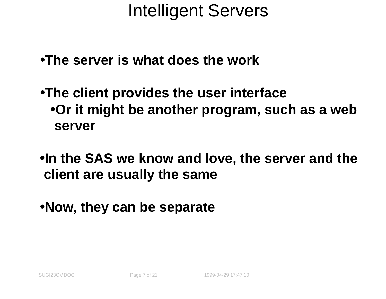- •**The server is what does the work**
- •**The client provides the user interface** •**Or it might be another program, such as <sup>a</sup> web server**
- •**In the SAS we know and love, the server and the client are usually the same**
- •**Now, they can be separate**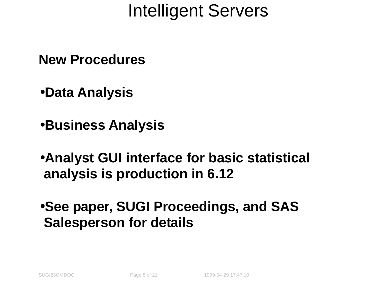**New Procedures**

•**Data Analysis**

•**Business Analysis**

•**Analyst GUI interface for basic statistical analysis is production in 6.12**

•**See paper, SUGI Proceedings, and SAS Salesperson for details**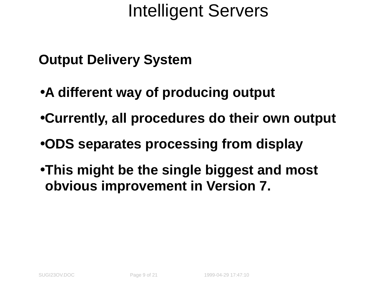- **Output Delivery System**
- •**A different way of producing output**
- •**Currently, all procedures do their own output**
- •**ODS separates processing from display**
- •**This might be the single biggest and most obvious improvement in Version 7.**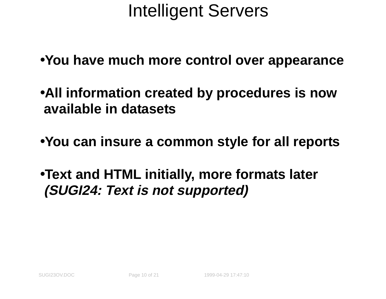- •**You have much more control over appearance**
- •**All information created by procedures is now available in datasets**
- •**You can insure <sup>a</sup> common style for all reports**
- •**Text and HTML initially, more formats later (SUGI24: Text is not supported)**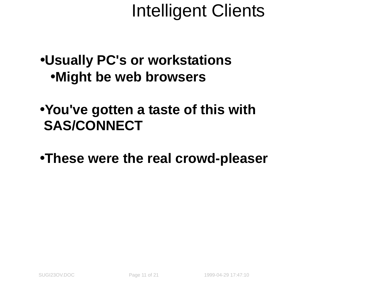### •**Usually PC's or workstations** •**Might be web browsers**

#### •**You've gotten <sup>a</sup> taste of this with SAS/CONNECT**

#### •**These were the real crowd-pleaser**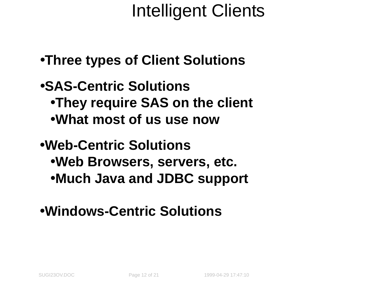- •**Three types of Client Solutions**
- •**SAS-Centric Solutions** •**They require SAS on the client** •**What most of us use now**
- •**Web-Centric Solutions** •**Web Browsers, servers, etc.** •**Much Java and JDBC support**

### •**Windows-Centric Solutions**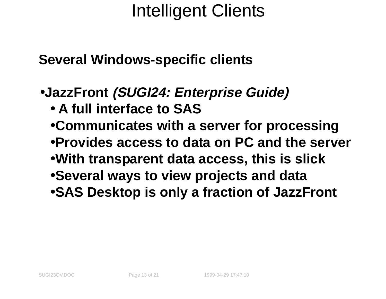**Several Windows-specific clients**

- •**JazzFront (SUGI24: Enterprise Guide)**
	- **A full interface to SAS**
	- •**Communicates with <sup>a</sup> server for processing**
	- •**Provides access to data on PC and the server**
	- •**With transparent data access, this is slick**
	- •**Several ways to view projects and data**
	- •**SAS Desktop is only <sup>a</sup> fraction of JazzFront**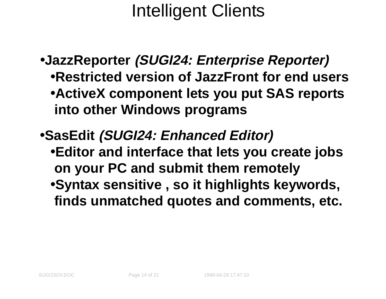- •**JazzReporter (SUGI24: Enterprise Reporter)** •**Restricted version of JazzFront for end users** •**ActiveX component lets you put SAS reports into other Windows programs**
- •**SasEdit (SUGI24: Enhanced Editor)**
	- •**Editor and interface that lets you create jobs on your PC and submit them remotely**
	- •**Syntax sensitive , so it highlights keywords, finds unmatched quotes and comments, etc.**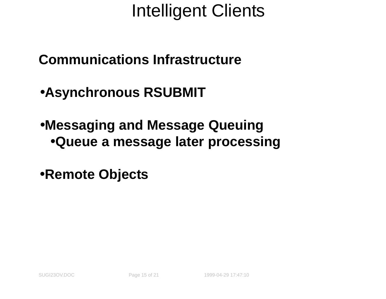**Communications Infrastructure**

•**Asynchronous RSUBMIT**

•**Messaging and Message Queuing** •**Queue <sup>a</sup> message later processing**

•**Remote Objects**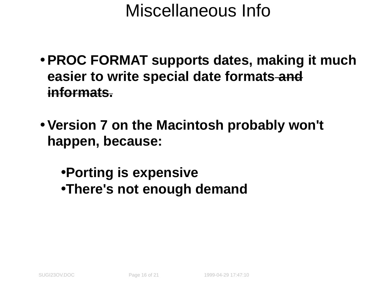### Miscellaneous Info

- **PROC FORMAT supports dates, making it much easier to write special date formats and informats.**
- **Version 7 on the Macintosh probably won't happen, because:**
	- •**Porting is expensive** •**There's not enough demand**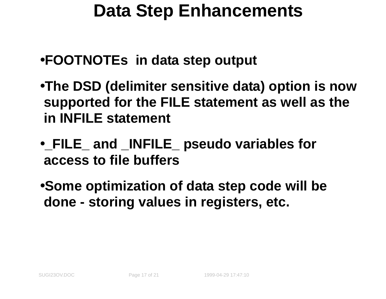### **Data Step Enhancements**

- •**FOOTNOTEs in data step output**
- •**The DSD (delimiter sensitive data) option is now supported for the FILE statement as well as the in INFILE statement**
- •**\_FILE\_ and \_INFILE\_ pseudo variables for access to file buffers**

•**Some optimization of data step code will be done - storing values in registers, etc.**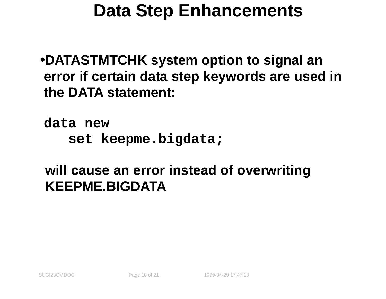### **Data Step Enhancements**

•**DATASTMTCHK system option to signal an error if certain data step keywords are used in the DATA statement:**

**data new set keepme.bigdata;**

### **will cause an error instead of overwriting KEEPME.BIGDATA**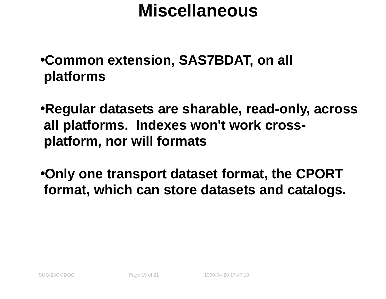### **Miscellaneous**

- •**Common extension, SAS7BDAT, on all platforms**
- •**Regular datasets are sharable, read-only, across all platforms. Indexes won't work crossplatform, nor will formats**
- •**Only one transport dataset format, the CPORT format, which can store datasets and catalogs.**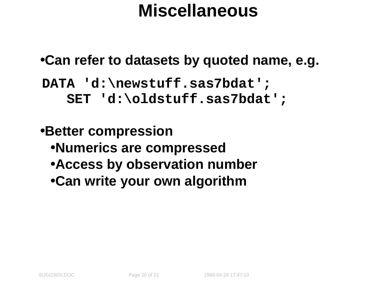### **Miscellaneous**

### •**Can refer to datasets by quoted name, e.g.**

**DATA 'd:\newstuff.sas7bdat'; SET 'd:\oldstuff.sas7bdat';**

### •**Better compression** •**Numerics are compressed** •**Access by observation number** •**Can write your own algorithm**